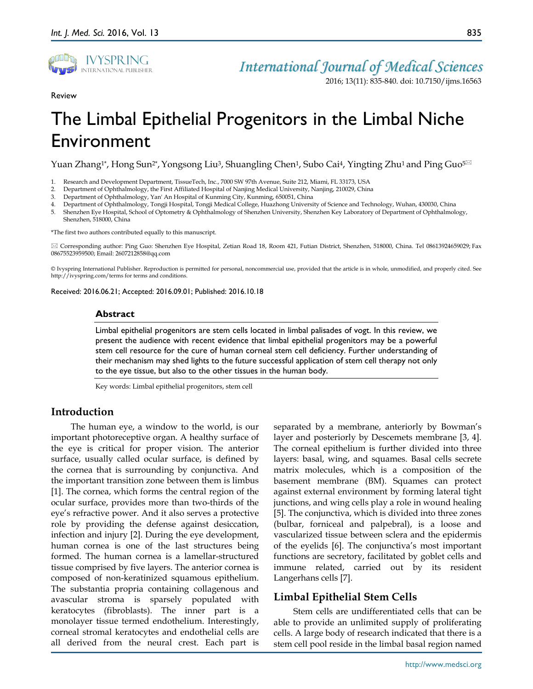

*International Journal of Medical Sciences*

2016; 13(11): 835-840. doi: 10.7150/ijms.16563

Review

# The Limbal Epithelial Progenitors in the Limbal Niche Environment

Yuan Zhang<sup>1\*</sup>, Hong Sun<sup>2\*</sup>, Yongsong Liu<sup>3</sup>, Shuangling Chen<sup>1</sup>, Subo Cai<sup>4</sup>, Yingting Zhu<sup>1</sup> and Ping Guo<sup>5⊠</sup>

- 1. Research and Development Department, TissueTech, Inc., 7000 SW 97th Avenue, Suite 212, Miami, FL 33173, USA
- 2. Department of Ophthalmology, the First Affiliated Hospital of Nanjing Medical University, Nanjing, 210029, China
- 3. Department of Ophthalmology, Yan' An Hospital of Kunming City, Kunming, 650051, China
- 4. Department of Ophthalmology, Tongji Hospital, Tongji Medical College, Huazhong University of Science and Technology, Wuhan, 430030, China
- 5. Shenzhen Eye Hospital, School of Optometry & Ophthalmology of Shenzhen University, Shenzhen Key Laboratory of Department of Ophthalmology,
- Shenzhen, 518000, China

\*The first two authors contributed equally to this manuscript.

 Corresponding author: Ping Guo: Shenzhen Eye Hospital, Zetian Road 18, Room 421, Futian District, Shenzhen, 518000, China. Tel 08613924659029; Fax 08675523959500; Email: 2607212858@qq.com

© Ivyspring International Publisher. Reproduction is permitted for personal, noncommercial use, provided that the article is in whole, unmodified, and properly cited. See http://ivyspring.com/terms for terms and conditions

Received: 2016.06.21; Accepted: 2016.09.01; Published: 2016.10.18

#### **Abstract**

Limbal epithelial progenitors are stem cells located in limbal palisades of vogt. In this review, we present the audience with recent evidence that limbal epithelial progenitors may be a powerful stem cell resource for the cure of human corneal stem cell deficiency. Further understanding of their mechanism may shed lights to the future successful application of stem cell therapy not only to the eye tissue, but also to the other tissues in the human body.

Key words: Limbal epithelial progenitors, stem cell

#### **Introduction**

The human eye, a window to the world, is our important photoreceptive organ. A healthy surface of the eye is critical for proper vision. The anterior surface, usually called ocular surface, is defined by the cornea that is surrounding by conjunctiva. And the important transition zone between them is limbus [1]. The cornea, which forms the central region of the ocular surface, provides more than two-thirds of the eye's refractive power. And it also serves a protective role by providing the defense against desiccation, infection and injury [2]. During the eye development, human cornea is one of the last structures being formed. The human cornea is a lamellar-structured tissue comprised by five layers. The anterior cornea is composed of non-keratinized squamous epithelium. The substantia propria containing collagenous and avascular stroma is sparsely populated with keratocytes (fibroblasts). The inner part is a monolayer tissue termed endothelium. Interestingly, corneal stromal keratocytes and endothelial cells are all derived from the neural crest. Each part is

separated by a membrane, anteriorly by Bowman's layer and posteriorly by Descemets membrane [3, 4]. The corneal epithelium is further divided into three layers: basal, wing, and squames. Basal cells secrete matrix molecules, which is a composition of the basement membrane (BM). Squames can protect against external environment by forming lateral tight junctions, and wing cells play a role in wound healing [5]. The conjunctiva, which is divided into three zones (bulbar, forniceal and palpebral), is a loose and vascularized tissue between sclera and the epidermis of the eyelids [6]. The conjunctiva's most important functions are secretory, facilitated by goblet cells and immune related, carried out by its resident Langerhans cells [7].

#### **Limbal Epithelial Stem Cells**

Stem cells are undifferentiated cells that can be able to provide an unlimited supply of proliferating cells. A large body of research indicated that there is a stem cell pool reside in the limbal basal region named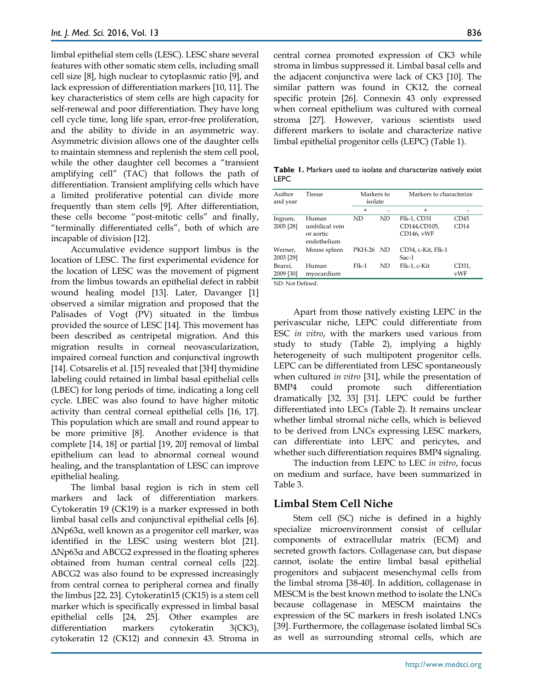limbal epithelial stem cells (LESC). LESC share several features with other somatic stem cells, including small cell size [8], high nuclear to cytoplasmic ratio [9], and lack expression of differentiation markers [10, 11]. The key characteristics of stem cells are high capacity for self-renewal and poor differentiation. They have long cell cycle time, long life span, error-free proliferation, and the ability to divide in an asymmetric way. Asymmetric division allows one of the daughter cells to maintain stemness and replenish the stem cell pool, while the other daughter cell becomes a "transient amplifying cell" (TAC) that follows the path of differentiation. Transient amplifying cells which have a limited proliferative potential can divide more frequently than stem cells [9]. After differentiation, these cells become "post-mitotic cells" and finally, "terminally differentiated cells", both of which are incapable of division [12].

Accumulative evidence support limbus is the location of LESC. The first experimental evidence for the location of LESC was the movement of pigment from the limbus towards an epithelial defect in rabbit wound healing model [13]. Later, Davanger [1] observed a similar migration and proposed that the Palisades of Vogt (PV) situated in the limbus provided the source of LESC [14]. This movement has been described as centripetal migration. And this migration results in corneal neovascularization, impaired corneal function and conjunctival ingrowth [14]. Cotsarelis et al. [15] revealed that [3H] thymidine labeling could retained in limbal basal epithelial cells (LBEC) for long periods of time, indicating a long cell cycle. LBEC was also found to have higher mitotic activity than central corneal epithelial cells [16, 17]. This population which are small and round appear to be more primitive [8]. Another evidence is that complete [14, 18] or partial [19, 20] removal of limbal epithelium can lead to abnormal corneal wound healing, and the transplantation of LESC can improve epithelial healing.

The limbal basal region is rich in stem cell markers and lack of differentiation markers. Cytokeratin 19 (CK19) is a marker expressed in both limbal basal cells and conjunctival epithelial cells [6]. ΔNp63α, well known as a progenitor cell marker, was identified in the LESC using western blot [21]. ΔNp63α and ABCG2 expressed in the floating spheres obtained from human central corneal cells [22]. ABCG2 was also found to be expressed increasingly from central cornea to peripheral cornea and finally the limbus [22, 23]. Cytokeratin15 (CK15) is a stem cell marker which is specifically expressed in limbal basal epithelial cells [24, 25]. Other examples are differentiation markers cytokeratin 3(CK3), cytokeratin 12 (CK12) and connexin 43. Stroma in

central cornea promoted expression of CK3 while stroma in limbus suppressed it. Limbal basal cells and the adjacent conjunctiva were lack of CK3 [10]. The similar pattern was found in CK12, the corneal specific protein [26]. Connexin 43 only expressed when corneal epithelium was cultured with corneal stroma [27]. However, various scientists used different markers to isolate and characterize native limbal epithelial progenitor cells (LEPC) (Table 1).

**Table 1.** Markers used to isolate and characterize natively exist LEPC

| Author<br>and year   | Tissue                                              | Markers to<br>isolate |    | Markers to characterize                   |              |
|----------------------|-----------------------------------------------------|-----------------------|----|-------------------------------------------|--------------|
|                      |                                                     | $+$                   |    | $\ddot{}$                                 |              |
| Ingram,<br>2005 [28] | Human<br>umbilical vein<br>or aortic<br>endothelium | ND                    | ND | Flk-1, CD31<br>CD144,CD105,<br>CD146, vWF | CD45<br>CD14 |
| Werner,<br>2003 [29] | Mouse spleen                                        | PKH-26 ND             |    | CD34, c-Kit, Flk-1<br>$Sac-1$             |              |
| Bearzi,<br>2009 [30] | Human<br>myocardium                                 | $F1k-1$               | ND | Flk-1, c-Kit                              | CD31,<br>vWF |

ND: Not Defined.

Apart from those natively existing LEPC in the perivascular niche, LEPC could differentiate from ESC *in vitro*, with the markers used various from study to study (Table 2), implying a highly heterogeneity of such multipotent progenitor cells. LEPC can be differentiated from LESC spontaneously when cultured *in vitro* [31], while the presentation of BMP4 could promote such differentiation dramatically [32, 33] [31]. LEPC could be further differentiated into LECs (Table 2). It remains unclear whether limbal stromal niche cells, which is believed to be derived from LNCs expressing LESC markers, can differentiate into LEPC and pericytes, and whether such differentiation requires BMP4 signaling.

The induction from LEPC to LEC *in vitro*, focus on medium and surface, have been summarized in Table 3.

# **Limbal Stem Cell Niche**

Stem cell (SC) niche is defined in a highly specialize microenvironment consist of cellular components of extracellular matrix (ECM) and secreted growth factors. Collagenase can, but dispase cannot, isolate the entire limbal basal epithelial progenitors and subjacent mesenchymal cells from the limbal stroma [38-40]. In addition, collagenase in MESCM is the best known method to isolate the LNCs because collagenase in MESCM maintains the expression of the SC markers in fresh isolated LNCs [39]. Furthermore, the collagenase isolated limbal SCs as well as surrounding stromal cells, which are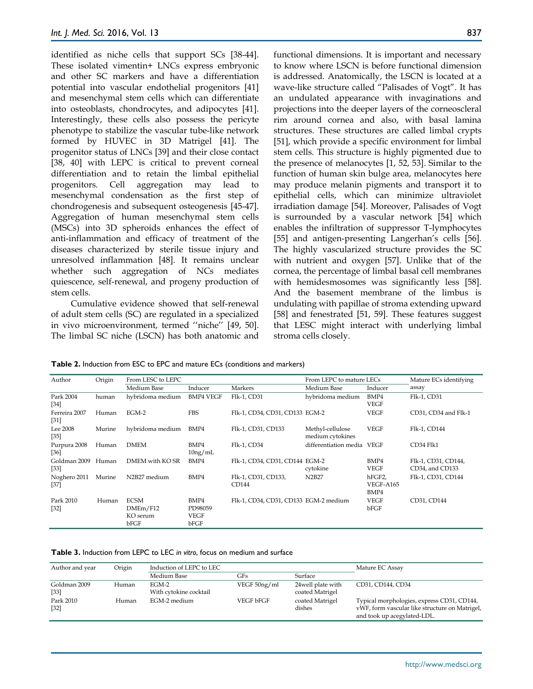identified as niche cells that support SCs [38-44]. These isolated vimentin+ LNCs express embryonic and other SC markers and have a differentiation potential into vascular endothelial progenitors [41] and mesenchymal stem cells which can differentiate into osteoblasts, chondrocytes, and adipocytes [41]. Interestingly, these cells also possess the pericyte phenotype to stabilize the vascular tube-like network formed by HUVEC in 3D Matrigel [41]. The progenitor status of LNCs [39] and their close contact [38, 40] with LEPC is critical to prevent corneal differentiation and to retain the limbal epithelial progenitors. Cell aggregation may lead to mesenchymal condensation as the first step of chondrogenesis and subsequent osteogenesis [45-47]. Aggregation of human mesenchymal stem cells (MSCs) into 3D spheroids enhances the effect of anti-inflammation and efficacy of treatment of the diseases characterized by sterile tissue injury and unresolved inflammation [48]. It remains unclear whether such aggregation of NCs mediates quiescence, self-renewal, and progeny production of stem cells.

Cumulative evidence showed that self-renewal of adult stem cells (SC) are regulated in a specialized in vivo microenvironment, termed ''niche'' [49, 50]. The limbal SC niche (LSCN) has both anatomic and

functional dimensions. It is important and necessary to know where LSCN is before functional dimension is addressed. Anatomically, the LSCN is located at a wave-like structure called "Palisades of Vogt". It has an undulated appearance with invaginations and projections into the deeper layers of the corneoscleral rim around cornea and also, with basal lamina structures. These structures are called limbal crypts [51], which provide a specific environment for limbal stem cells. This structure is highly pigmented due to the presence of melanocytes [1, 52, 53]. Similar to the function of human skin bulge area, melanocytes here may produce melanin pigments and transport it to epithelial cells, which can minimize ultraviolet irradiation damage [54]. Moreover, Palisades of Vogt is surrounded by a vascular network [54] which enables the infiltration of suppressor T-lymphocytes [55] and antigen-presenting Langerhan's cells [56]. The highly vascularized structure provides the SC with nutrient and oxygen [57]. Unlike that of the cornea, the percentage of limbal basal cell membranes with hemidesmosomes was significantly less [58]. And the basement membrane of the limbus is undulating with papillae of stroma extending upward [58] and fenestrated [51, 59]. These features suggest that LESC might interact with underlying limbal stroma cells closely.

|  | Table 2. Induction from ESC to EPC and mature ECs (conditions and markers) |  |
|--|----------------------------------------------------------------------------|--|
|--|----------------------------------------------------------------------------|--|

| Author                  | Origin | From LESC to LEPC                           |                                        |                                       | From LEPC to mature LECs             |                                    | Mature ECs identifying                 |
|-------------------------|--------|---------------------------------------------|----------------------------------------|---------------------------------------|--------------------------------------|------------------------------------|----------------------------------------|
|                         |        | Medium Base                                 | Inducer                                | Markers                               | Medium Base                          | Inducer                            | assay                                  |
| Park 2004<br>$[34]$     | human  | hybridoma medium                            | <b>BMP4 VEGF</b>                       | Flk-1, CD31                           | hybridoma medium                     | BMP4<br><b>VEGF</b>                | Flk-1, CD31                            |
| Ferreira 2007<br>$[31]$ | Human  | $EGM-2$                                     | <b>FBS</b>                             | Flk-1, CD34, CD31, CD133 EGM-2        |                                      | <b>VEGF</b>                        | CD31, CD34 and Flk-1                   |
| Lee 2008<br>$[35]$      | Murine | hybridoma medium                            | BMP4                                   | Flk-1, CD31, CD133                    | Methyl-cellulose<br>medium cytokines | <b>VEGF</b>                        | Flk-1, CD144                           |
| Purpura 2008<br>$[36]$  | Human  | <b>DMEM</b>                                 | BMP4<br>10 <sub>ng</sub> /mL           | Flk-1, CD34                           | differentiation media                | <b>VEGF</b>                        | CD34 Flk1                              |
| Goldman 2009<br>$[33]$  | Human  | DMEM with KO SR                             | BMP4                                   | Flk-1, CD34, CD31, CD144 EGM-2        | cytokine                             | BMP4<br><b>VEGF</b>                | Flk-1, CD31, CD144,<br>CD34, and CD133 |
| Noghero 2011<br>$[37]$  | Murine | N2B27 medium                                | BMP4                                   | Flk-1, CD31, CD133,<br>CD144          | N2B27                                | hFGF2,<br><b>VEGF-A165</b><br>BMP4 | Flk-1, CD31, CD144                     |
| Park 2010<br>$[32]$     | Human  | <b>ECSM</b><br>DMEm/F12<br>KO serum<br>bFGF | BMP4<br>PD98059<br><b>VEGF</b><br>bFGF | Flk-1, CD34, CD31, CD133 EGM-2 medium |                                      | <b>VEGF</b><br>bFGF                | CD31, CD144                            |

**Table 3.** Induction from LEPC to LEC *in vitro*, focus on medium and surface

| Author and year        | Origin | Induction of LEPC to LEC        |              |                                       | Mature EC Assay                                                                                                             |
|------------------------|--------|---------------------------------|--------------|---------------------------------------|-----------------------------------------------------------------------------------------------------------------------------|
|                        |        | Medium Base                     | GFs          | Surface                               |                                                                                                                             |
| Goldman 2009<br>$[33]$ | Human  | EGM-2<br>With cytokine cocktail | VEGF 50ng/ml | 24 well plate with<br>coated Matrigel | CD31, CD144, CD34                                                                                                           |
| Park 2010<br>$[32]$    | Human  | EGM-2 medium                    | VEGF bFGF    | coated Matrigel<br>dishes             | Typical morphologies, express CD31, CD144,<br>vWF, form vascular like structure on Matrigel,<br>and took up acegylated-LDL. |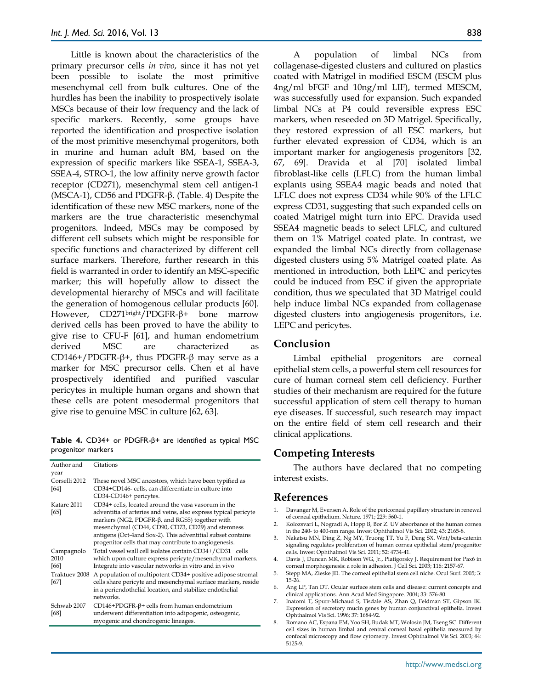Little is known about the characteristics of the primary precursor cells *in vivo*, since it has not yet been possible to isolate the most primitive mesenchymal cell from bulk cultures. One of the hurdles has been the inability to prospectively isolate MSCs because of their low frequency and the lack of specific markers. Recently, some groups have reported the identification and prospective isolation of the most primitive mesenchymal progenitors, both in murine and human adult BM, based on the expression of specific markers like SSEA-1, SSEA-3, SSEA-4, STRO-1, the low affinity nerve growth factor receptor (CD271), mesenchymal stem cell antigen-1 (MSCA-1), CD56 and PDGFR-β. (Table. 4) Despite the identification of these new MSC markers, none of the markers are the true characteristic mesenchymal progenitors. Indeed, MSCs may be composed by different cell subsets which might be responsible for specific functions and characterized by different cell surface markers. Therefore, further research in this field is warranted in order to identify an MSC-specific marker; this will hopefully allow to dissect the developmental hierarchy of MSCs and will facilitate the generation of homogenous cellular products [60]. However, CD271bright/PDGFR-β+ bone marrow derived cells has been proved to have the ability to give rise to CFU-F [61], and human endometrium derived MSC are characterized as CD146+/PDGFR-β+, thus PDGFR-β may serve as a marker for MSC precursor cells. Chen et al have prospectively identified and purified vascular pericytes in multiple human organs and shown that these cells are potent mesodermal progenitors that give rise to genuine MSC in culture [62, 63].

**Table 4.** CD34+ or PDGFR-β+ are identified as typical MSC progenitor markers

| Author and<br>year | Citations                                                                |
|--------------------|--------------------------------------------------------------------------|
| Corselli 2012      | These novel MSC ancestors, which have been typified as                   |
| [64]               | CD34+CD146- cells, can differentiate in culture into                     |
|                    | CD34-CD146+ pericytes.                                                   |
| Katare 2011        | CD34+ cells, located around the vasa vasorum in the                      |
| [65]               | adventitia of arteries and veins, also express typical pericyte          |
|                    | markers (NG2, PDGFR- $\beta$ , and RGS5) together with                   |
|                    | mesenchymal (CD44, CD90, CD73, CD29) and stemness                        |
|                    | antigens (Oct-4and Sox-2). This adventitial subset contains              |
|                    | progenitor cells that may contribute to angiogenesis.                    |
| Campagnolo         | Total vessel wall cell isolates contain CD34+/CD31-cells                 |
| 2010               | which upon culture express pericyte/mesenchymal markers.                 |
| [66]               | Integrate into vascular networks in vitro and in vivo                    |
|                    | Traktuev 2008 A population of multipotent CD34+ positive adipose stromal |
| [67]               | cells share pericyte and mesenchymal surface markers, reside             |
|                    | in a periendothelial location, and stabilize endothelial                 |
|                    | networks.                                                                |
| Schwab 2007        | $CD146+PDGFR-\beta+$ cells from human endometrium                        |
| [68]               | underwent differentiation into adipogenic, osteogenic,                   |
|                    | myogenic and chondrogenic lineages.                                      |

A population of limbal NCs from collagenase-digested clusters and cultured on plastics coated with Matrigel in modified ESCM (ESCM plus 4ng/ml bFGF and 10ng/ml LIF), termed MESCM, was successfully used for expansion. Such expanded limbal NCs at P4 could reversible express ESC markers, when reseeded on 3D Matrigel. Specifically, they restored expression of all ESC markers, but further elevated expression of CD34, which is an important marker for angiogenesis progenitors [32, 67, 69]. Dravida et al [70] isolated limbal fibroblast-like cells (LFLC) from the human limbal explants using SSEA4 magic beads and noted that LFLC does not express CD34 while 90% of the LFLC express CD31, suggesting that such expanded cells on coated Matrigel might turn into EPC. Dravida used SSEA4 magnetic beads to select LFLC, and cultured them on 1% Matrigel coated plate. In contrast, we expanded the limbal NCs directly from collagenase digested clusters using 5% Matrigel coated plate. As mentioned in introduction, both LEPC and pericytes could be induced from ESC if given the appropriate condition, thus we speculated that 3D Matrigel could help induce limbal NCs expanded from collagenase digested clusters into angiogenesis progenitors, i.e. LEPC and pericytes.

#### **Conclusion**

Limbal epithelial progenitors are corneal epithelial stem cells, a powerful stem cell resources for cure of human corneal stem cell deficiency. Further studies of their mechanism are required for the future successful application of stem cell therapy to human eye diseases. If successful, such research may impact on the entire field of stem cell research and their clinical applications.

# **Competing Interests**

The authors have declared that no competing interest exists.

# **References**

- 1. Davanger M, Evensen A. Role of the pericorneal papillary structure in renewal of corneal epithelium. Nature. 1971; 229: 560-1.
- 2. Kolozsvari L, Nogradi A, Hopp B, Bor Z. UV absorbance of the human cornea in the 240- to 400-nm range. Invest Ophthalmol Vis Sci. 2002; 43: 2165-8.
- 3. Nakatsu MN, Ding Z, Ng MY, Truong TT, Yu F, Deng SX. Wnt/beta-catenin signaling regulates proliferation of human cornea epithelial stem/progenitor cells. Invest Ophthalmol Vis Sci. 2011; 52: 4734-41.
- 4. Davis J, Duncan MK, Robison WG, Jr., Piatigorsky J. Requirement for Pax6 in corneal morphogenesis: a role in adhesion. J Cell Sci. 2003; 116: 2157-67.
- 5. Stepp MA, Zieske JD. The corneal epithelial stem cell niche. Ocul Surf. 2005; 3: 15-26.
- 6. Ang LP, Tan DT. Ocular surface stem cells and disease: current concepts and clinical applications. Ann Acad Med Singapore. 2004; 33: 576-80.
- 7. Inatomi T, Spurr-Michaud S, Tisdale AS, Zhan Q, Feldman ST, Gipson IK. Expression of secretory mucin genes by human conjunctival epithelia. Invest Ophthalmol Vis Sci. 1996; 37: 1684-92.
- 8. Romano AC, Espana EM, Yoo SH, Budak MT, Wolosin JM, Tseng SC. Different cell sizes in human limbal and central corneal basal epithelia measured by confocal microscopy and flow cytometry. Invest Ophthalmol Vis Sci. 2003; 44: 5125-9.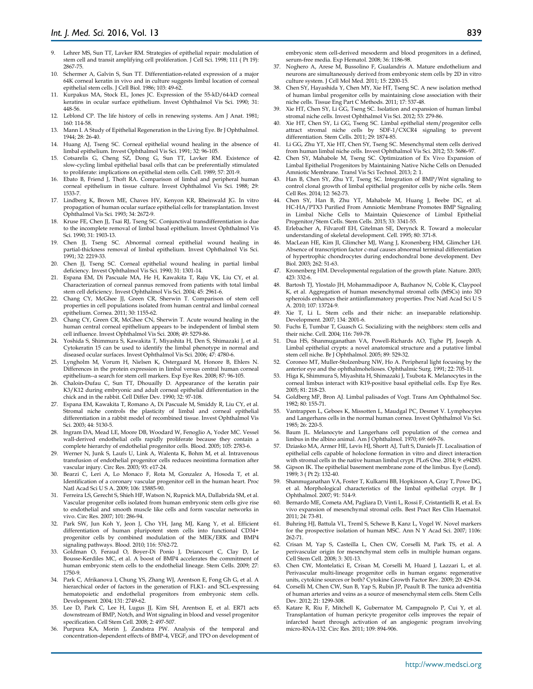- 9. Lehrer MS, Sun TT, Lavker RM. Strategies of epithelial repair: modulation of stem cell and transit amplifying cell proliferation. J Cell Sci. 1998; 111 ( Pt 19): 2867-75.
- 10. Schermer A, Galvin S, Sun TT. Differentiation-related expression of a major 64K corneal keratin in vivo and in culture suggests limbal location of corneal epithelial stem cells. J Cell Biol. 1986; 103: 49-62.
- 11. Kurpakus MA, Stock EL, Jones JC. Expression of the 55-kD/64-kD corneal keratins in ocular surface epithelium. Invest Ophthalmol Vis Sci. 1990; 31: 448-56.
- 12. Leblond CP. The life history of cells in renewing systems. Am J Anat. 1981; 160: 114-58.
- 13. Mann I. A Study of Epithelial Regeneration in the Living Eye. Br J Ophthalmol. 1944; 28: 26-40.
- 14. Huang AJ, Tseng SC. Corneal epithelial wound healing in the absence of limbal epithelium. Invest Ophthalmol Vis Sci. 1991; 32: 96-105.
- 15. Cotsarelis G, Cheng SZ, Dong G, Sun TT, Lavker RM. Existence of slow-cycling limbal epithelial basal cells that can be preferentially stimulated to proliferate: implications on epithelial stem cells. Cell. 1989; 57: 201-9.
- 16. Ebato B, Friend J, Thoft RA. Comparison of limbal and peripheral human corneal epithelium in tissue culture. Invest Ophthalmol Vis Sci. 1988; 29: 1533-7.
- 17. Lindberg K, Brown ME, Chaves HV, Kenyon KR, Rheinwald JG. In vitro propagation of human ocular surface epithelial cells for transplantation. Invest Ophthalmol Vis Sci. 1993; 34: 2672-9.
- 18. Kruse FE, Chen JJ, Tsai RJ, Tseng SC. Conjunctival transdifferentiation is due to the incomplete removal of limbal basal epithelium. Invest Ophthalmol Vis Sci. 1990; 31: 1903-13.
- 19. Chen JJ, Tseng SC. Abnormal corneal epithelial wound healing in partial-thickness removal of limbal epithelium. Invest Ophthalmol Vis Sci. 1991; 32: 2219-33.
- 20. Chen JJ, Tseng SC. Corneal epithelial wound healing in partial limbal deficiency. Invest Ophthalmol Vis Sci. 1990; 31: 1301-14.
- 21. Espana EM, Di Pascuale MA, He H, Kawakita T, Raju VK, Liu CY, et al. Characterization of corneal pannus removed from patients with total limbal stem cell deficiency. Invest Ophthalmol Vis Sci. 2004; 45: 2961-6.
- 22. Chang CY, McGhee JJ, Green CR, Sherwin T. Comparison of stem cell properties in cell populations isolated from human central and limbal corneal epithelium. Cornea. 2011; 30: 1155-62.
- 23. Chang CY, Green CR, McGhee CN, Sherwin T. Acute wound healing in the human central corneal epithelium appears to be independent of limbal stem cell influence. Invest Ophthalmol Vis Sci. 2008; 49: 5279-86.
- 24. Yoshida S, Shimmura S, Kawakita T, Miyashita H, Den S, Shimazaki J, et al. Cytokeratin 15 can be used to identify the limbal phenotype in normal and diseased ocular surfaces. Invest Ophthalmol Vis Sci. 2006; 47: 4780-6.
- 25. Lyngholm M, Vorum H, Nielsen K, Ostergaard M, Honore B, Ehlers N. Differences in the protein expression in limbal versus central human corneal epithelium--a search for stem cell markers. Exp Eye Res. 2008; 87: 96-105.
- 26. Chaloin-Dufau C, Sun TT, Dhouailly D. Appearance of the keratin pair K3/K12 during embryonic and adult corneal epithelial differentiation in the chick and in the rabbit. Cell Differ Dev. 1990; 32: 97-108.
- 27. Espana EM, Kawakita T, Romano A, Di Pascuale M, Smiddy R, Liu CY, et al. Stromal niche controls the plasticity of limbal and corneal epithelial differentiation in a rabbit model of recombined tissue. Invest Ophthalmol Vis Sci. 2003; 44: 5130-5.
- 28. Ingram DA, Mead LE, Moore DB, Woodard W, Fenoglio A, Yoder MC. Vessel wall-derived endothelial cells rapidly proliferate because they contain a complete hierarchy of endothelial progenitor cells. Blood. 2005; 105: 2783-6.
- 29. Werner N, Junk S, Laufs U, Link A, Walenta K, Bohm M, et al. Intravenous transfusion of endothelial progenitor cells reduces neointima formation after vascular injury. Circ Res. 2003; 93: e17-24.
- 30. Bearzi C, Leri A, Lo Monaco F, Rota M, Gonzalez A, Hosoda T, et al. Identification of a coronary vascular progenitor cell in the human heart. Proc Natl Acad Sci U S A. 2009; 106: 15885-90.
- 31. Ferreira LS, Gerecht S, Shieh HF, Watson N, Rupnick MA, Dallabrida SM, et al. Vascular progenitor cells isolated from human embryonic stem cells give rise to endothelial and smooth muscle like cells and form vascular networks in vivo. Circ Res. 2007; 101: 286-94.
- 32. Park SW, Jun Koh Y, Jeon J, Cho YH, Jang MJ, Kang Y, et al. Efficient differentiation of human pluripotent stem cells into functional CD34+ progenitor cells by combined modulation of the MEK/ERK and BMP4 signaling pathways. Blood. 2010; 116: 5762-72.
- 33. Goldman O, Feraud O, Boyer-Di Ponio J, Driancourt C, Clay D, Le Bousse-Kerdiles MC, et al. A boost of BMP4 accelerates the commitment of human embryonic stem cells to the endothelial lineage. Stem Cells. 2009; 27: 1750-9.
- 34. Park C, Afrikanova I, Chung YS, Zhang WJ, Arentson E, Fong Gh G, et al. A hierarchical order of factors in the generation of FLK1- and SCL-expressing hematopoietic and endothelial progenitors from embryonic stem cells. Development. 2004; 131: 2749-62.
- 35. Lee D, Park C, Lee H, Lugus JJ, Kim SH, Arentson E, et al. ER71 acts downstream of BMP, Notch, and Wnt signaling in blood and vessel progenitor specification. Cell Stem Cell. 2008; 2: 497-507.
- Purpura KA, Morin J, Zandstra PW. Analysis of the temporal and concentration-dependent effects of BMP-4, VEGF, and TPO on development of

embryonic stem cell-derived mesoderm and blood progenitors in a defined, serum-free media. Exp Hematol. 2008; 36: 1186-98.

- 37. Noghero A, Arese M, Bussolino F, Gualandris A. Mature endothelium and neurons are simultaneously derived from embryonic stem cells by 2D in vitro culture system. J Cell Mol Med. 2011; 15: 2200-15.
- 38. Chen SY, Hayashida Y, Chen MY, Xie HT, Tseng SC. A new isolation method of human limbal progenitor cells by maintaining close association with their niche cells. Tissue Eng Part C Methods. 2011; 17: 537-48.
- 39. Xie HT, Chen SY, Li GG, Tseng SC. Isolation and expansion of human limbal stromal niche cells. Invest Ophthalmol Vis Sci. 2012; 53: 279-86.
- 40. Xie HT, Chen SY, Li GG, Tseng SC. Limbal epithelial stem/progenitor cells attract stromal niche cells by SDF-1/CXCR4 signaling to prevent differentiation. Stem Cells. 2011; 29: 1874-85.
- 41. Li GG, Zhu YT, Xie HT, Chen SY, Tseng SC. Mesenchymal stem cells derived from human limbal niche cells. Invest Ophthalmol Vis Sci. 2012; 53: 5686-97.
- 42. Chen SY, Mahabole M, Tseng SC. Optimization of Ex Vivo Expansion of Limbal Epithelial Progenitors by Maintaining Native Niche Cells on Denuded Amniotic Membrane. Transl Vis Sci Technol. 2013; 2: 1.
- 43. Han B, Chen SY, Zhu YT, Tseng SC. Integration of BMP/Wnt signaling to control clonal growth of limbal epithelial progenitor cells by niche cells. Stem Cell Res. 2014; 12: 562-73.
- 44. Chen SY, Han B, Zhu YT, Mahabole M, Huang J, Beebe DC, et al. HC-HA/PTX3 Purified From Amniotic Membrane Promotes BMP Signaling in Limbal Niche Cells to Maintain Quiescence of Limbal Epithelial Progenitor/Stem Cells. Stem Cells. 2015; 33: 3341-55.
- 45. Erlebacher A, Filvaroff EH, Gitelman SE, Derynck R. Toward a molecular understanding of skeletal development. Cell. 1995; 80: 371-8.
- 46. MacLean HE, Kim JI, Glimcher MJ, Wang J, Kronenberg HM, Glimcher LH. Absence of transcription factor c-maf causes abnormal terminal differentiation of hypertrophic chondrocytes during endochondral bone development. Dev Biol. 2003; 262: 51-63.
- 47. Kronenberg HM. Developmental regulation of the growth plate. Nature. 2003; 423: 332-6.
- 48. Bartosh TJ, Ylostalo JH, Mohammadipoor A, Bazhanov N, Coble K, Claypool K, et al. Aggregation of human mesenchymal stromal cells (MSCs) into 3D spheroids enhances their antiinflammatory properties. Proc Natl Acad Sci U S A. 2010; 107: 13724-9.
- 49. Xie T, Li L. Stem cells and their niche: an inseparable relationship. Development. 2007; 134: 2001-6.
- 50. Fuchs E, Tumbar T, Guasch G. Socializing with the neighbors: stem cells and their niche. Cell. 2004; 116: 769-78.
- 51. Dua HS, Shanmuganathan VA, Powell-Richards AO, Tighe PJ, Joseph A. Limbal epithelial crypts: a novel anatomical structure and a putative limbal stem cell niche. Br J Ophthalmol. 2005; 89: 529-32.
- 52. Coroneo MT, Muller-Stolzenburg NW, Ho A. Peripheral light focusing by the anterior eye and the ophthalmohelioses. Ophthalmic Surg. 1991; 22: 705-11.
- 53. Higa K, Shimmura S, Miyashita H, Shimazaki J, Tsubota K. Melanocytes in the corneal limbus interact with K19-positive basal epithelial cells. Exp Eye Res. 2005; 81: 218-23.
- 54. Goldberg MF, Bron AJ. Limbal palisades of Vogt. Trans Am Ophthalmol Soc. 1982; 80: 155-71.
- 55. Vantrappen L, Geboes K, Missotten L, Maudgal PC, Desmet V. Lymphocytes and Langerhans cells in the normal human cornea. Invest Ophthalmol Vis Sci. 1985; 26: 220-5.
- 56. Baum JL. Melanocyte and Langerhans cell population of the cornea and limbus in the albino animal. Am J Ophthalmol. 1970; 69: 669-76.
- 57. Dziasko MA, Armer HE, Levis HJ, Shortt AJ, Tuft S, Daniels JT. Localisation of epithelial cells capable of holoclone formation in vitro and direct interaction with stromal cells in the native human limbal crypt. PLoS One. 2014; 9: e94283.
- 58. Gipson IK. The epithelial basement membrane zone of the limbus. Eye (Lond). 1989; 3 ( Pt 2): 132-40.
- 59. Shanmuganathan VA, Foster T, Kulkarni BB, Hopkinson A, Gray T, Powe DG, et al. Morphological characteristics of the limbal epithelial crypt. Br J Ophthalmol. 2007; 91: 514-9.
- Bernardo ME, Cometa AM, Pagliara D, Vinti L, Rossi F, Cristantielli R, et al. Ex vivo expansion of mesenchymal stromal cells. Best Pract Res Clin Haematol. 2011; 24: 73-81.
- 61. Buhring HJ, Battula VL, Treml S, Schewe B, Kanz L, Vogel W. Novel markers for the prospective isolation of human MSC. Ann N Y Acad Sci. 2007; 1106: 262-71.
- 62. Crisan M, Yap S, Casteilla L, Chen CW, Corselli M, Park TS, et al. A perivascular origin for mesenchymal stem cells in multiple human organs. Cell Stem Cell. 2008; 3: 301-13.
- 63. Chen CW, Montelatici E, Crisan M, Corselli M, Huard J, Lazzari L, et al. Perivascular multi-lineage progenitor cells in human organs: regenerative units, cytokine sources or both? Cytokine Growth Factor Rev. 2009; 20: 429-34.
- 64. Corselli M, Chen CW, Sun B, Yap S, Rubin JP, Peault B. The tunica adventitia of human arteries and veins as a source of mesenchymal stem cells. Stem Cells Dev. 2012; 21: 1299-308.
- 65. Katare R, Riu F, Mitchell K, Gubernator M, Campagnolo P, Cui Y, et al. Transplantation of human pericyte progenitor cells improves the repair of infarcted heart through activation of an angiogenic program involving micro-RNA-132. Circ Res. 2011; 109: 894-906.